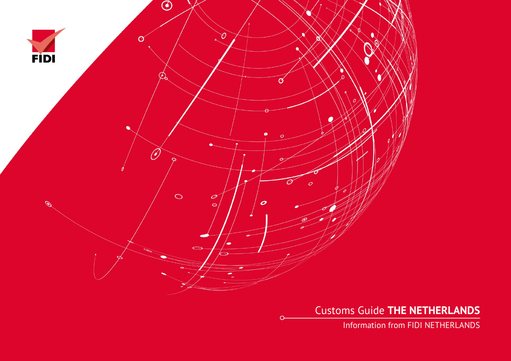

Customs Guide **THE NETHERLANDS**

Information from FIDI NETHERLANDS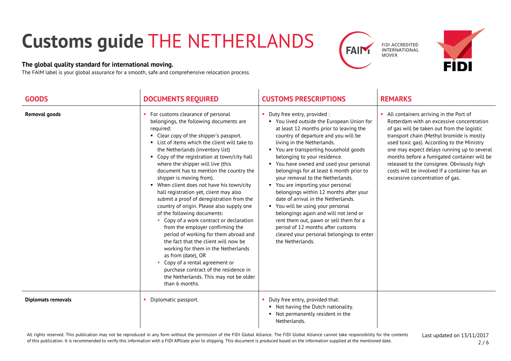## **Customs guide** THE NETHERLANDS

## **The global quality standard for international moving.**

The FAIM label is your global assurance for a smooth, safe and comprehensive relocation process.





| <b>GOODS</b>         | <b>DOCUMENTS REQUIRED</b>                                                                                                                                                                                                                                                                                                                                                                                                                                                                                                                                                                                                                                                                                                                                                                                                                                                                                                                                                   | <b>CUSTOMS PRESCRIPTIONS</b>                                                                                                                                                                                                                                                                                                                                                                                                                                                                                                                                                                                                                                                                                                                          | <b>REMARKS</b>                                                                                                                                                                                                                                                                                                                                                                                                                                               |
|----------------------|-----------------------------------------------------------------------------------------------------------------------------------------------------------------------------------------------------------------------------------------------------------------------------------------------------------------------------------------------------------------------------------------------------------------------------------------------------------------------------------------------------------------------------------------------------------------------------------------------------------------------------------------------------------------------------------------------------------------------------------------------------------------------------------------------------------------------------------------------------------------------------------------------------------------------------------------------------------------------------|-------------------------------------------------------------------------------------------------------------------------------------------------------------------------------------------------------------------------------------------------------------------------------------------------------------------------------------------------------------------------------------------------------------------------------------------------------------------------------------------------------------------------------------------------------------------------------------------------------------------------------------------------------------------------------------------------------------------------------------------------------|--------------------------------------------------------------------------------------------------------------------------------------------------------------------------------------------------------------------------------------------------------------------------------------------------------------------------------------------------------------------------------------------------------------------------------------------------------------|
| <b>Removal goods</b> | • For customs clearance of personal<br>belongings, the following documents are<br>required:<br>• Clear copy of the shipper's passport.<br>• List of items which the client will take to<br>the Netherlands (inventory list)<br>• Copy of the registration at town/city hall<br>where the shipper will live (this<br>document has to mention the country the<br>shipper is moving from).<br>• When client does not have his town/city<br>hall registration yet, client may also<br>submit a proof of deregistration from the<br>country of origin. Please also supply one<br>of the following documents:<br>" Copy of a work contract or declaration<br>from the employer confirming the<br>period of working for them abroad and<br>the fact that the client will now be<br>working for them in the Netherlands<br>as from (date), OR<br>Copy of a rental agreement or<br>purchase contract of the residence in<br>the Netherlands. This may not be older<br>than 6 months. | • Duty free entry, provided :<br>• You lived outside the European Union for<br>at least 12 months prior to leaving the<br>country of departure and you will be<br>living in the Netherlands.<br>• You are transporting household goods<br>belonging to your residence.<br>• You have owned and used your personal<br>belongings for at least 6 month prior to<br>your removal to the Netherlands.<br>• You are importing your personal<br>belongings within 12 months after your<br>date of arrival in the Netherlands.<br>• You will be using your personal<br>belongings again and will not lend or<br>rent them out, pawn or sell them for a<br>period of 12 months after customs<br>cleared your personal belongings to enter<br>the Netherlands. | • All containers arriving in the Port of<br>Rotterdam with an excessive concentration<br>of gas will be taken out from the logistic<br>transport chain (Methyl bromide is mostly<br>used toxic gas). According to the Ministry<br>one may expect delays running up to several<br>months before a fumigated container will be<br>released to the consignee. Obviously high<br>costs will be involved if a container has an<br>excessive concentration of gas. |
| Diplomats removals   | Diplomatic passport.                                                                                                                                                                                                                                                                                                                                                                                                                                                                                                                                                                                                                                                                                                                                                                                                                                                                                                                                                        | • Duty free entry, provided that:<br>• Not having the Dutch nationality.<br>• Not permanently resident in the<br>Netherlands.                                                                                                                                                                                                                                                                                                                                                                                                                                                                                                                                                                                                                         |                                                                                                                                                                                                                                                                                                                                                                                                                                                              |

All rights reserved. This publication may not be reproduced in any form without the permission of the FIDI Global Alliance. The FIDI Global Alliance cannot take responsibility for the contents of this publication. It is recommended to verify this information with a FIDI Affiliate prior to shipping. This document is produced based on the information supplied at the mentioned date.

Last updated on 13/11/2017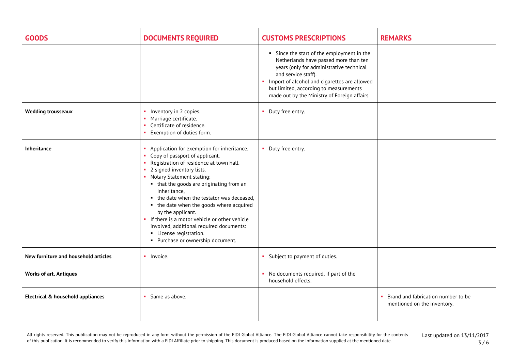| <b>GOODS</b>                         | <b>DOCUMENTS REQUIRED</b>                                                                                                                                                                                                                                                                                                                                                                                                                                                                                                        | <b>CUSTOMS PRESCRIPTIONS</b>                                                                                                                                                                                                                                                                     | <b>REMARKS</b>                                                    |
|--------------------------------------|----------------------------------------------------------------------------------------------------------------------------------------------------------------------------------------------------------------------------------------------------------------------------------------------------------------------------------------------------------------------------------------------------------------------------------------------------------------------------------------------------------------------------------|--------------------------------------------------------------------------------------------------------------------------------------------------------------------------------------------------------------------------------------------------------------------------------------------------|-------------------------------------------------------------------|
|                                      |                                                                                                                                                                                                                                                                                                                                                                                                                                                                                                                                  | • Since the start of the employment in the<br>Netherlands have passed more than ten<br>years (only for administrative technical<br>and service staff).<br>Import of alcohol and cigarettes are allowed<br>but limited, according to measurements<br>made out by the Ministry of Foreign affairs. |                                                                   |
| <b>Wedding trousseaux</b>            | Inventory in 2 copies.<br><b>COL</b><br>Marriage certificate.<br>Certificate of residence.<br>×.<br>Exemption of duties form.                                                                                                                                                                                                                                                                                                                                                                                                    | • Duty free entry.                                                                                                                                                                                                                                                                               |                                                                   |
| <b>Inheritance</b>                   | • Application for exemption for inheritance.<br>• Copy of passport of applicant.<br>Registration of residence at town hall.<br>2 signed inventory lists.<br>• Notary Statement stating:<br>• that the goods are originating from an<br>inheritance,<br>• the date when the testator was deceased,<br>• the date when the goods where acquired<br>by the applicant.<br>• If there is a motor vehicle or other vehicle<br>involved, additional required documents:<br>• License registration.<br>• Purchase or ownership document. | • Duty free entry.                                                                                                                                                                                                                                                                               |                                                                   |
| New furniture and household articles | • Invoice.                                                                                                                                                                                                                                                                                                                                                                                                                                                                                                                       | • Subject to payment of duties.                                                                                                                                                                                                                                                                  |                                                                   |
| <b>Works of art, Antiques</b>        |                                                                                                                                                                                                                                                                                                                                                                                                                                                                                                                                  | No documents required, if part of the<br>household effects.                                                                                                                                                                                                                                      |                                                                   |
| Electrical & household appliances    | Same as above.                                                                                                                                                                                                                                                                                                                                                                                                                                                                                                                   |                                                                                                                                                                                                                                                                                                  | Brand and fabrication number to be<br>mentioned on the inventory. |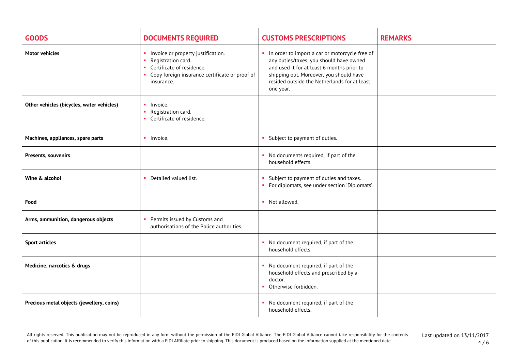| <b>GOODS</b>                              | <b>DOCUMENTS REQUIRED</b>                                                                                                                                       | <b>CUSTOMS PRESCRIPTIONS</b>                                                                                                                                                                                                                    | <b>REMARKS</b> |
|-------------------------------------------|-----------------------------------------------------------------------------------------------------------------------------------------------------------------|-------------------------------------------------------------------------------------------------------------------------------------------------------------------------------------------------------------------------------------------------|----------------|
| <b>Motor vehicles</b>                     | Invoice or property justification.<br>Registration card.<br>×.<br>• Certificate of residence.<br>• Copy foreign insurance certificate or proof of<br>insurance. | In order to import a car or motorcycle free of<br>any duties/taxes, you should have owned<br>and used it for at least 6 months prior to<br>shipping out. Moreover, you should have<br>resided outside the Netherlands for at least<br>one year. |                |
| Other vehicles (bicycles, water vehicles) | $\blacksquare$ Invoice.<br>Registration card.<br>×.<br>• Certificate of residence.                                                                              |                                                                                                                                                                                                                                                 |                |
| Machines, appliances, spare parts         | • Invoice.                                                                                                                                                      | • Subject to payment of duties.                                                                                                                                                                                                                 |                |
| Presents, souvenirs                       |                                                                                                                                                                 | • No documents required, if part of the<br>household effects.                                                                                                                                                                                   |                |
| Wine & alcohol                            | • Detailed valued list.                                                                                                                                         | Subject to payment of duties and taxes.<br>• For diplomats, see under section 'Diplomats'.                                                                                                                                                      |                |
| Food                                      |                                                                                                                                                                 | • Not allowed.                                                                                                                                                                                                                                  |                |
| Arms, ammunition, dangerous objects       | Permits issued by Customs and<br>×.<br>authorisations of the Police authorities.                                                                                |                                                                                                                                                                                                                                                 |                |
| <b>Sport articles</b>                     |                                                                                                                                                                 | • No document required, if part of the<br>household effects.                                                                                                                                                                                    |                |
| Medicine, narcotics & drugs               |                                                                                                                                                                 | • No document required, if part of the<br>household effects and prescribed by a<br>doctor.<br>Otherwise forbidden.                                                                                                                              |                |
| Precious metal objects (jewellery, coins) |                                                                                                                                                                 | • No document required, if part of the<br>household effects.                                                                                                                                                                                    |                |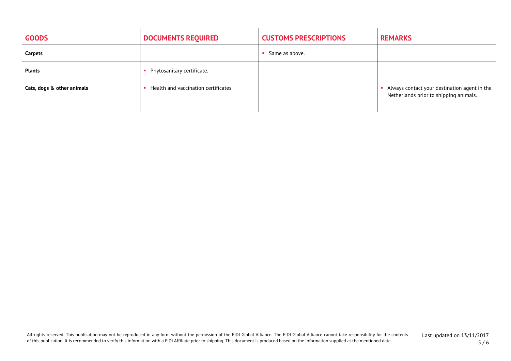| <b>GOODS</b>               | <b>DOCUMENTS REQUIRED</b>            | <b>CUSTOMS PRESCRIPTIONS</b> | <b>REMARKS</b>                                                                         |
|----------------------------|--------------------------------------|------------------------------|----------------------------------------------------------------------------------------|
| Carpets                    |                                      | Same as above.               |                                                                                        |
| <b>Plants</b>              | Phytosanitary certificate.           |                              |                                                                                        |
| Cats, dogs & other animals | Health and vaccination certificates. |                              | Always contact your destination agent in the<br>Netherlands prior to shipping animals. |